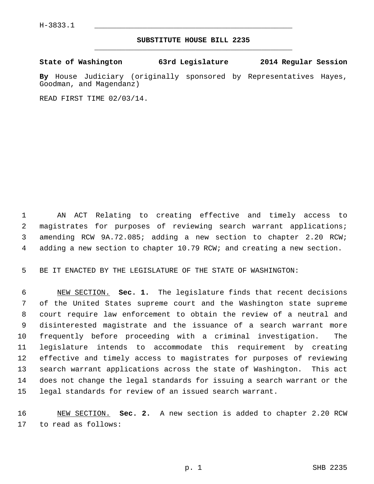## **SUBSTITUTE HOUSE BILL 2235** \_\_\_\_\_\_\_\_\_\_\_\_\_\_\_\_\_\_\_\_\_\_\_\_\_\_\_\_\_\_\_\_\_\_\_\_\_\_\_\_\_\_\_\_\_

## **State of Washington 63rd Legislature 2014 Regular Session**

**By** House Judiciary (originally sponsored by Representatives Hayes, Goodman, and Magendanz)

READ FIRST TIME 02/03/14.

 1 AN ACT Relating to creating effective and timely access to 2 magistrates for purposes of reviewing search warrant applications; 3 amending RCW 9A.72.085; adding a new section to chapter 2.20 RCW; 4 adding a new section to chapter 10.79 RCW; and creating a new section.

5 BE IT ENACTED BY THE LEGISLATURE OF THE STATE OF WASHINGTON:

 6 NEW SECTION. **Sec. 1.** The legislature finds that recent decisions 7 of the United States supreme court and the Washington state supreme 8 court require law enforcement to obtain the review of a neutral and 9 disinterested magistrate and the issuance of a search warrant more 10 frequently before proceeding with a criminal investigation. The 11 legislature intends to accommodate this requirement by creating 12 effective and timely access to magistrates for purposes of reviewing 13 search warrant applications across the state of Washington. This act 14 does not change the legal standards for issuing a search warrant or the 15 legal standards for review of an issued search warrant.

16 NEW SECTION. **Sec. 2.** A new section is added to chapter 2.20 RCW 17 to read as follows: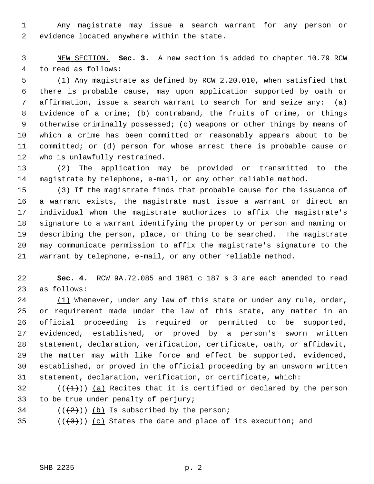1 Any magistrate may issue a search warrant for any person or 2 evidence located anywhere within the state.

 3 NEW SECTION. **Sec. 3.** A new section is added to chapter 10.79 RCW 4 to read as follows:

 5 (1) Any magistrate as defined by RCW 2.20.010, when satisfied that 6 there is probable cause, may upon application supported by oath or 7 affirmation, issue a search warrant to search for and seize any: (a) 8 Evidence of a crime; (b) contraband, the fruits of crime, or things 9 otherwise criminally possessed; (c) weapons or other things by means of 10 which a crime has been committed or reasonably appears about to be 11 committed; or (d) person for whose arrest there is probable cause or 12 who is unlawfully restrained.

13 (2) The application may be provided or transmitted to the 14 magistrate by telephone, e-mail, or any other reliable method.

15 (3) If the magistrate finds that probable cause for the issuance of 16 a warrant exists, the magistrate must issue a warrant or direct an 17 individual whom the magistrate authorizes to affix the magistrate's 18 signature to a warrant identifying the property or person and naming or 19 describing the person, place, or thing to be searched. The magistrate 20 may communicate permission to affix the magistrate's signature to the 21 warrant by telephone, e-mail, or any other reliable method.

22 **Sec. 4.** RCW 9A.72.085 and 1981 c 187 s 3 are each amended to read 23 as follows:

24 (1) Whenever, under any law of this state or under any rule, order, 25 or requirement made under the law of this state, any matter in an 26 official proceeding is required or permitted to be supported, 27 evidenced, established, or proved by a person's sworn written 28 statement, declaration, verification, certificate, oath, or affidavit, 29 the matter may with like force and effect be supported, evidenced, 30 established, or proved in the official proceeding by an unsworn written 31 statement, declaration, verification, or certificate, which:

32  $((\langle 1 \rangle)^2)$  (a) Recites that it is certified or declared by the person 33 to be true under penalty of perjury;

 $34$  ( $(\frac{2}{2})$ ) (b) Is subscribed by the person;

35 ( $(\frac{3}{3})$ ) (c) States the date and place of its execution; and